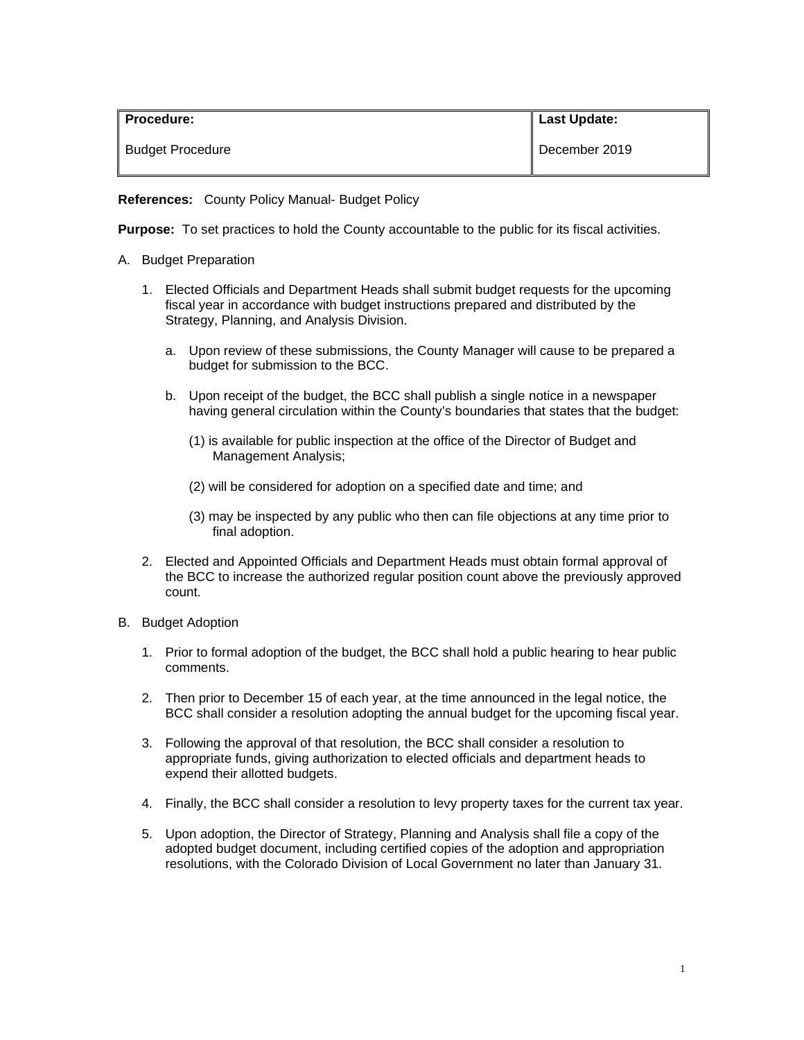| <b>Procedure:</b>       | <b>Last Update:</b> |
|-------------------------|---------------------|
| <b>Budget Procedure</b> | December 2019       |

**References:** County Policy Manual- Budget Policy

**Purpose:** To set practices to hold the County accountable to the public for its fiscal activities.

- A. Budget Preparation
	- 1. Elected Officials and Department Heads shall submit budget requests for the upcoming fiscal year in accordance with budget instructions prepared and distributed by the Strategy, Planning, and Analysis Division.
		- a. Upon review of these submissions, the County Manager will cause to be prepared a budget for submission to the BCC.
		- b. Upon receipt of the budget, the BCC shall publish a single notice in a newspaper having general circulation within the County's boundaries that states that the budget:
			- (1) is available for public inspection at the office of the Director of Budget and Management Analysis;
			- (2) will be considered for adoption on a specified date and time; and
			- (3) may be inspected by any public who then can file objections at any time prior to final adoption.
	- 2. Elected and Appointed Officials and Department Heads must obtain formal approval of the BCC to increase the authorized regular position count above the previously approved count.
- B. Budget Adoption
	- 1. Prior to formal adoption of the budget, the BCC shall hold a public hearing to hear public comments.
	- 2. Then prior to December 15 of each year, at the time announced in the legal notice, the BCC shall consider a resolution adopting the annual budget for the upcoming fiscal year.
	- 3. Following the approval of that resolution, the BCC shall consider a resolution to appropriate funds, giving authorization to elected officials and department heads to expend their allotted budgets.
	- 4. Finally, the BCC shall consider a resolution to levy property taxes for the current tax year.
	- 5. Upon adoption, the Director of Strategy, Planning and Analysis shall file a copy of the adopted budget document, including certified copies of the adoption and appropriation resolutions, with the Colorado Division of Local Government no later than January 31.